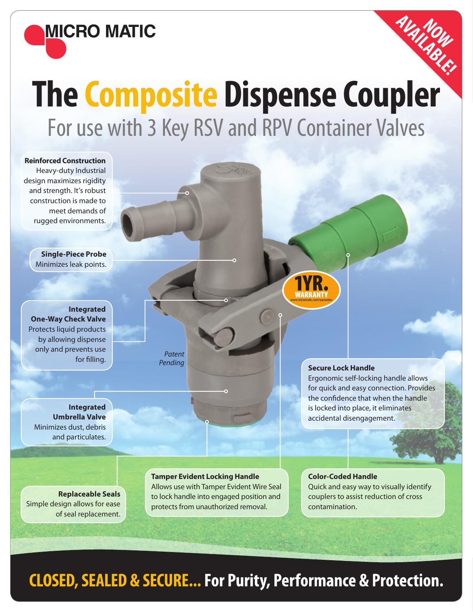

# **The Composite Dispense Coupler** For use with 3 Key RSV and RPV Container Valves

**AVAILABLE! NOW** 



### **CLOSED, SEALED & SECURE... For Purity, Performance & Protection.**